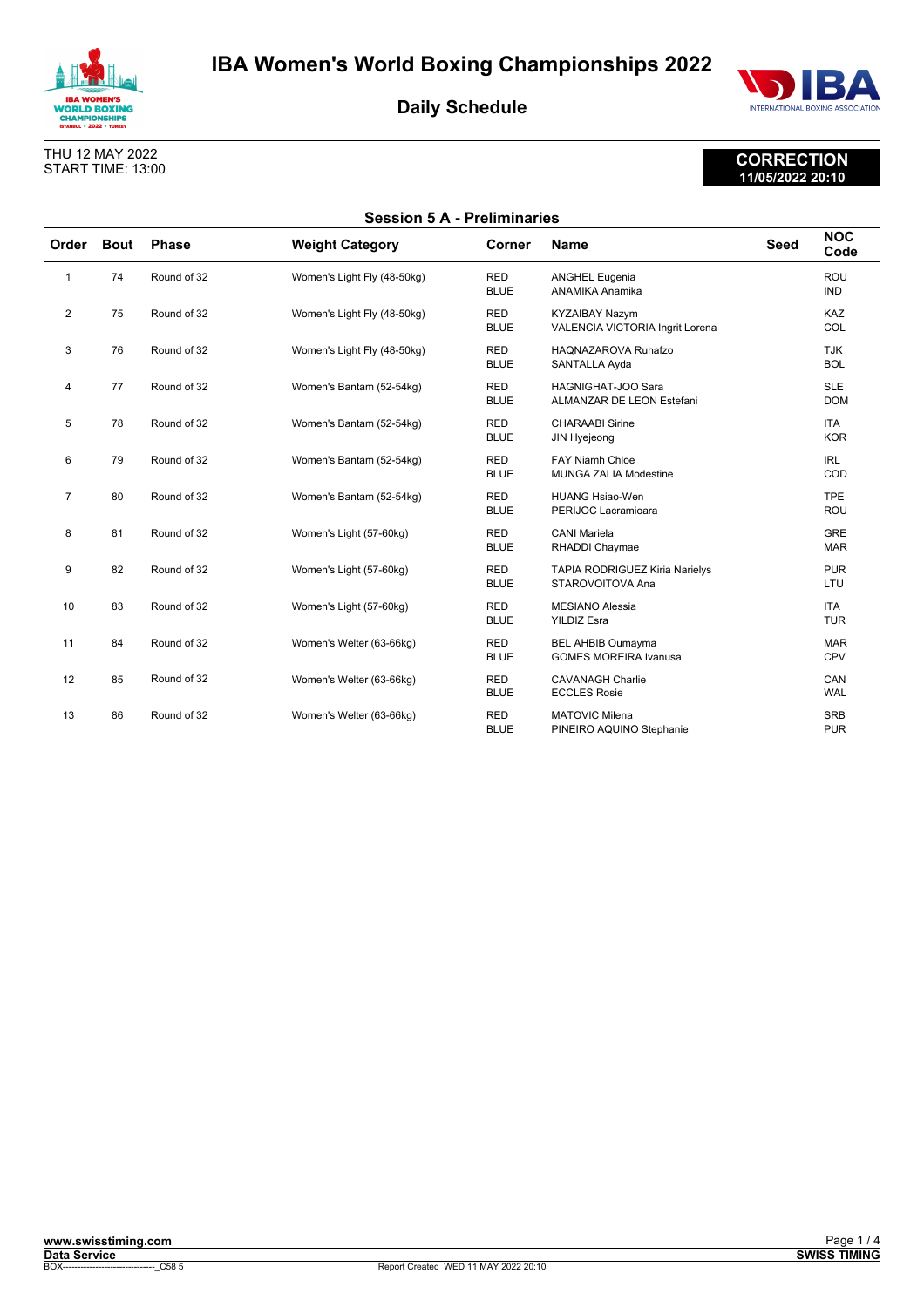



## THU 12 MAY 2022 START TIME: 13:00

# **CORRECTION 11/05/2022 20:10**

| <b>Session 5 A - Preliminaries</b> |             |              |                             |                           |                                                           |             |                          |
|------------------------------------|-------------|--------------|-----------------------------|---------------------------|-----------------------------------------------------------|-------------|--------------------------|
| Order                              | <b>Bout</b> | <b>Phase</b> | <b>Weight Category</b>      | Corner                    | <b>Name</b>                                               | <b>Seed</b> | <b>NOC</b><br>Code       |
| 1                                  | 74          | Round of 32  | Women's Light Fly (48-50kg) | <b>RED</b><br><b>BLUE</b> | <b>ANGHEL Eugenia</b><br>ANAMIKA Anamika                  |             | <b>ROU</b><br><b>IND</b> |
| 2                                  | 75          | Round of 32  | Women's Light Fly (48-50kg) | <b>RED</b><br><b>BLUE</b> | <b>KYZAIBAY Nazym</b><br>VALENCIA VICTORIA Ingrit Lorena  |             | KAZ<br>COL               |
| 3                                  | 76          | Round of 32  | Women's Light Fly (48-50kg) | <b>RED</b><br><b>BLUE</b> | HAONAZAROVA Ruhafzo<br>SANTALLA Ayda                      |             | <b>TJK</b><br><b>BOL</b> |
| 4                                  | 77          | Round of 32  | Women's Bantam (52-54kg)    | <b>RED</b><br><b>BLUE</b> | HAGNIGHAT-JOO Sara<br>ALMANZAR DE LEON Estefani           |             | <b>SLE</b><br><b>DOM</b> |
| 5                                  | 78          | Round of 32  | Women's Bantam (52-54kg)    | <b>RED</b><br><b>BLUE</b> | <b>CHARAABI Sirine</b><br>JIN Hyejeong                    |             | <b>ITA</b><br><b>KOR</b> |
| 6                                  | 79          | Round of 32  | Women's Bantam (52-54kg)    | <b>RED</b><br><b>BLUE</b> | <b>FAY Niamh Chloe</b><br><b>MUNGA ZALIA Modestine</b>    |             | <b>IRL</b><br>COD        |
| $\overline{7}$                     | 80          | Round of 32  | Women's Bantam (52-54kg)    | <b>RED</b><br><b>BLUE</b> | <b>HUANG Hsiao-Wen</b><br>PERIJOC Lacramioara             |             | <b>TPE</b><br><b>ROU</b> |
| 8                                  | 81          | Round of 32  | Women's Light (57-60kg)     | <b>RED</b><br><b>BLUE</b> | <b>CANI Mariela</b><br>RHADDI Chaymae                     |             | <b>GRE</b><br><b>MAR</b> |
| 9                                  | 82          | Round of 32  | Women's Light (57-60kg)     | <b>RED</b><br><b>BLUE</b> | <b>TAPIA RODRIGUEZ Kiria Narielys</b><br>STAROVOITOVA Ana |             | <b>PUR</b><br>LTU        |
| 10                                 | 83          | Round of 32  | Women's Light (57-60kg)     | <b>RED</b><br><b>BLUE</b> | <b>MESIANO Alessia</b><br><b>YILDIZ Esra</b>              |             | <b>ITA</b><br><b>TUR</b> |
| 11                                 | 84          | Round of 32  | Women's Welter (63-66kg)    | <b>RED</b><br><b>BLUE</b> | <b>BEL AHBIB Oumayma</b><br><b>GOMES MOREIRA Ivanusa</b>  |             | <b>MAR</b><br><b>CPV</b> |
| 12                                 | 85          | Round of 32  | Women's Welter (63-66kg)    | <b>RED</b><br><b>BLUE</b> | <b>CAVANAGH Charlie</b><br><b>ECCLES Rosie</b>            |             | CAN<br><b>WAL</b>        |
| 13                                 | 86          | Round of 32  | Women's Welter (63-66kg)    | <b>RED</b><br><b>BLUE</b> | <b>MATOVIC Milena</b><br>PINEIRO AQUINO Stephanie         |             | <b>SRB</b><br><b>PUR</b> |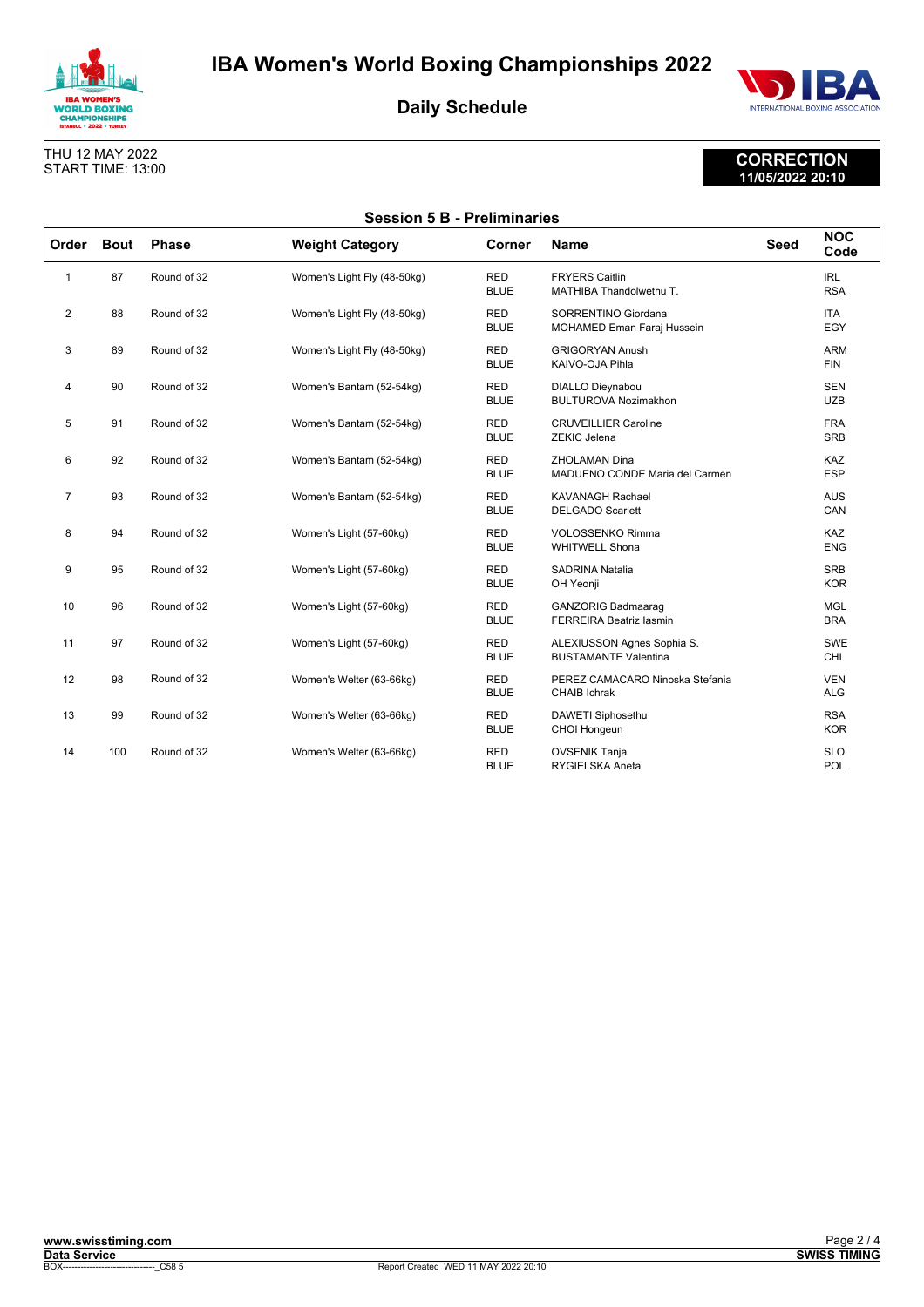



## **CORRECTION 11/05/2022 20:10**

THU 12 MAY 2022 START TIME: 13:00

| <b>Session 5 B - Preliminaries</b> |             |              |                             |                           |                                                             |             |                          |
|------------------------------------|-------------|--------------|-----------------------------|---------------------------|-------------------------------------------------------------|-------------|--------------------------|
| Order                              | <b>Bout</b> | <b>Phase</b> | <b>Weight Category</b>      | Corner                    | <b>Name</b>                                                 | <b>Seed</b> | <b>NOC</b><br>Code       |
| $\mathbf{1}$                       | 87          | Round of 32  | Women's Light Fly (48-50kg) | <b>RED</b><br><b>BLUE</b> | <b>FRYERS Caitlin</b><br>MATHIBA Thandolwethu T.            |             | <b>IRL</b><br><b>RSA</b> |
| $\overline{2}$                     | 88          | Round of 32  | Women's Light Fly (48-50kg) | <b>RED</b><br><b>BLUE</b> | SORRENTINO Giordana<br>MOHAMED Eman Faraj Hussein           |             | <b>ITA</b><br>EGY        |
| 3                                  | 89          | Round of 32  | Women's Light Fly (48-50kg) | <b>RED</b><br><b>BLUE</b> | <b>GRIGORYAN Anush</b><br>KAIVO-OJA Pihla                   |             | <b>ARM</b><br><b>FIN</b> |
| 4                                  | 90          | Round of 32  | Women's Bantam (52-54kg)    | <b>RED</b><br><b>BLUE</b> | <b>DIALLO Dieynabou</b><br><b>BULTUROVA Nozimakhon</b>      |             | <b>SEN</b><br><b>UZB</b> |
| 5                                  | 91          | Round of 32  | Women's Bantam (52-54kg)    | <b>RED</b><br><b>BLUE</b> | <b>CRUVEILLIER Caroline</b><br>ZEKIC Jelena                 |             | <b>FRA</b><br><b>SRB</b> |
| 6                                  | 92          | Round of 32  | Women's Bantam (52-54kg)    | <b>RED</b><br><b>BLUE</b> | <b>ZHOLAMAN Dina</b><br>MADUENO CONDE Maria del Carmen      |             | KAZ<br><b>ESP</b>        |
| $\overline{7}$                     | 93          | Round of 32  | Women's Bantam (52-54kg)    | <b>RED</b><br><b>BLUE</b> | <b>KAVANAGH Rachael</b><br><b>DELGADO Scarlett</b>          |             | <b>AUS</b><br>CAN        |
| 8                                  | 94          | Round of 32  | Women's Light (57-60kg)     | <b>RED</b><br><b>BLUE</b> | <b>VOLOSSENKO Rimma</b><br><b>WHITWELL Shona</b>            |             | KAZ<br><b>ENG</b>        |
| 9                                  | 95          | Round of 32  | Women's Light (57-60kg)     | <b>RED</b><br><b>BLUE</b> | <b>SADRINA Natalia</b><br>OH Yeonji                         |             | <b>SRB</b><br><b>KOR</b> |
| 10                                 | 96          | Round of 32  | Women's Light (57-60kg)     | <b>RED</b><br><b>BLUE</b> | <b>GANZORIG Badmaaraq</b><br><b>FERREIRA Beatriz lasmin</b> |             | <b>MGL</b><br><b>BRA</b> |
| 11                                 | 97          | Round of 32  | Women's Light (57-60kg)     | <b>RED</b><br><b>BLUE</b> | ALEXIUSSON Agnes Sophia S.<br><b>BUSTAMANTE Valentina</b>   |             | <b>SWE</b><br>CHI        |
| 12                                 | 98          | Round of 32  | Women's Welter (63-66kg)    | <b>RED</b><br><b>BLUE</b> | PEREZ CAMACARO Ninoska Stefania<br><b>CHAIB Ichrak</b>      |             | <b>VEN</b><br><b>ALG</b> |
| 13                                 | 99          | Round of 32  | Women's Welter (63-66kg)    | <b>RED</b><br><b>BLUE</b> | DAWETI Siphosethu<br>CHOI Hongeun                           |             | <b>RSA</b><br><b>KOR</b> |
| 14                                 | 100         | Round of 32  | Women's Welter (63-66kg)    | <b>RED</b><br><b>BLUE</b> | <b>OVSENIK Tanja</b><br><b>RYGIELSKA Aneta</b>              |             | <b>SLO</b><br>POL        |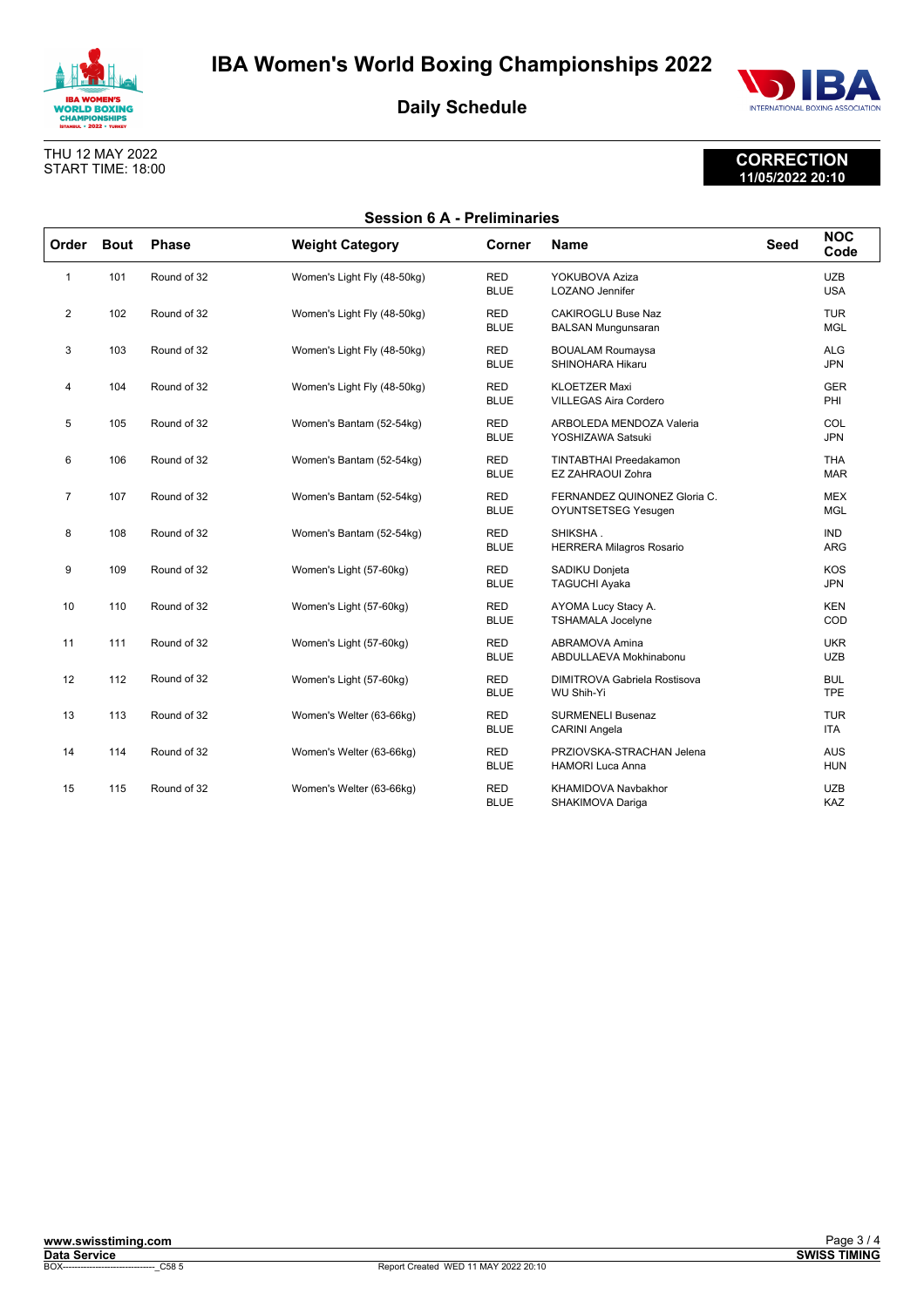



**CORRECTION 11/05/2022 20:10**

THU 12 MAY 2022 START TIME: 18:00

| <b>Session 6 A - Preliminaries</b> |             |              |                             |                           |                                                        |             |                          |  |
|------------------------------------|-------------|--------------|-----------------------------|---------------------------|--------------------------------------------------------|-------------|--------------------------|--|
| Order                              | <b>Bout</b> | <b>Phase</b> | <b>Weight Category</b>      | Corner                    | <b>Name</b>                                            | <b>Seed</b> | <b>NOC</b><br>Code       |  |
| 1                                  | 101         | Round of 32  | Women's Light Fly (48-50kg) | <b>RED</b><br><b>BLUE</b> | YOKUBOVA Aziza<br><b>LOZANO</b> Jennifer               |             | <b>UZB</b><br><b>USA</b> |  |
| $\overline{2}$                     | 102         | Round of 32  | Women's Light Fly (48-50kg) | <b>RED</b><br><b>BLUE</b> | <b>CAKIROGLU Buse Naz</b><br><b>BALSAN Mungunsaran</b> |             | <b>TUR</b><br><b>MGL</b> |  |
| 3                                  | 103         | Round of 32  | Women's Light Fly (48-50kg) | <b>RED</b><br><b>BLUE</b> | <b>BOUALAM Roumaysa</b><br>SHINOHARA Hikaru            |             | <b>ALG</b><br><b>JPN</b> |  |
| 4                                  | 104         | Round of 32  | Women's Light Fly (48-50kg) | <b>RED</b><br><b>BLUE</b> | <b>KLOETZER Maxi</b><br><b>VILLEGAS Aira Cordero</b>   |             | <b>GER</b><br>PHI        |  |
| 5                                  | 105         | Round of 32  | Women's Bantam (52-54kg)    | <b>RED</b><br><b>BLUE</b> | ARBOLEDA MENDOZA Valeria<br>YOSHIZAWA Satsuki          |             | COL<br><b>JPN</b>        |  |
| 6                                  | 106         | Round of 32  | Women's Bantam (52-54kg)    | <b>RED</b><br><b>BLUE</b> | <b>TINTABTHAI Preedakamon</b><br>EZ ZAHRAOUI Zohra     |             | <b>THA</b><br><b>MAR</b> |  |
| $\overline{7}$                     | 107         | Round of 32  | Women's Bantam (52-54kg)    | <b>RED</b><br><b>BLUE</b> | FERNANDEZ QUINONEZ Gloria C.<br>OYUNTSETSEG Yesugen    |             | <b>MEX</b><br><b>MGL</b> |  |
| 8                                  | 108         | Round of 32  | Women's Bantam (52-54kg)    | <b>RED</b><br><b>BLUE</b> | SHIKSHA.<br><b>HERRERA Milagros Rosario</b>            |             | <b>IND</b><br><b>ARG</b> |  |
| 9                                  | 109         | Round of 32  | Women's Light (57-60kg)     | <b>RED</b><br><b>BLUE</b> | SADIKU Donjeta<br>TAGUCHI Ayaka                        |             | <b>KOS</b><br><b>JPN</b> |  |
| 10                                 | 110         | Round of 32  | Women's Light (57-60kg)     | <b>RED</b><br><b>BLUE</b> | AYOMA Lucy Stacy A.<br><b>TSHAMALA Jocelyne</b>        |             | <b>KEN</b><br>COD        |  |
| 11                                 | 111         | Round of 32  | Women's Light (57-60kg)     | <b>RED</b><br><b>BLUE</b> | ABRAMOVA Amina<br>ABDULLAEVA Mokhinabonu               |             | <b>UKR</b><br><b>UZB</b> |  |
| 12                                 | 112         | Round of 32  | Women's Light (57-60kg)     | <b>RED</b><br><b>BLUE</b> | DIMITROVA Gabriela Rostisova<br><b>WU Shih-Yi</b>      |             | <b>BUL</b><br><b>TPE</b> |  |
| 13                                 | 113         | Round of 32  | Women's Welter (63-66kg)    | <b>RED</b><br><b>BLUE</b> | <b>SURMENELI Busenaz</b><br><b>CARINI Angela</b>       |             | <b>TUR</b><br><b>ITA</b> |  |
| 14                                 | 114         | Round of 32  | Women's Welter (63-66kg)    | <b>RED</b><br><b>BLUE</b> | PRZIOVSKA-STRACHAN Jelena<br><b>HAMORI Luca Anna</b>   |             | <b>AUS</b><br><b>HUN</b> |  |
| 15                                 | 115         | Round of 32  | Women's Welter (63-66kg)    | <b>RED</b><br><b>BLUE</b> | <b>KHAMIDOVA Navbakhor</b><br>SHAKIMOVA Dariga         |             | <b>UZB</b><br>KAZ        |  |